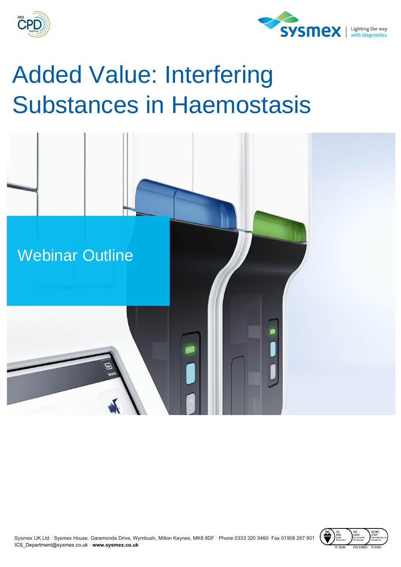



## Added Value: Interfering Substances in Haemostasis



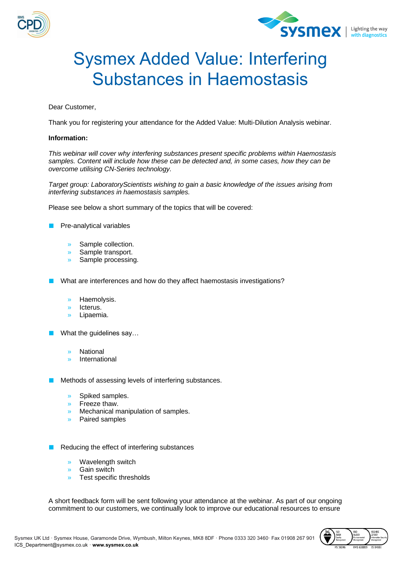



## Sysmex Added Value: Interfering Substances in Haemostasis

Dear Customer,

Thank you for registering your attendance for the Added Value: Multi-Dilution Analysis webinar.

## **Information:**

*This webinar will cover why interfering substances present specific problems within Haemostasis samples. Content will include how these can be detected and, in some cases, how they can be overcome utilising CN-Series technology.* 

*Target group: LaboratoryScientists wishing to gain a basic knowledge of the issues arising from interfering substances in haemostasis samples.*

Please see below a short summary of the topics that will be covered:

Pre-analytical variables

- » Sample collection.
- » Sample transport.
- » Sample processing.

What are interferences and how do they affect haemostasis investigations?

- » Haemolysis.
- » Icterus.
- » Lipaemia.
- What the guidelines say...
	- **National**
	- » International

Methods of assessing levels of interfering substances.

- » Spiked samples.
- » Freeze thaw.
- » Mechanical manipulation of samples.
- » Paired samples

Reducing the effect of interfering substances

- » Wavelength switch
- » Gain switch
- » Test specific thresholds

A short feedback form will be sent following your attendance at the webinar. As part of our ongoing commitment to our customers, we continually look to improve our educational resources to ensure